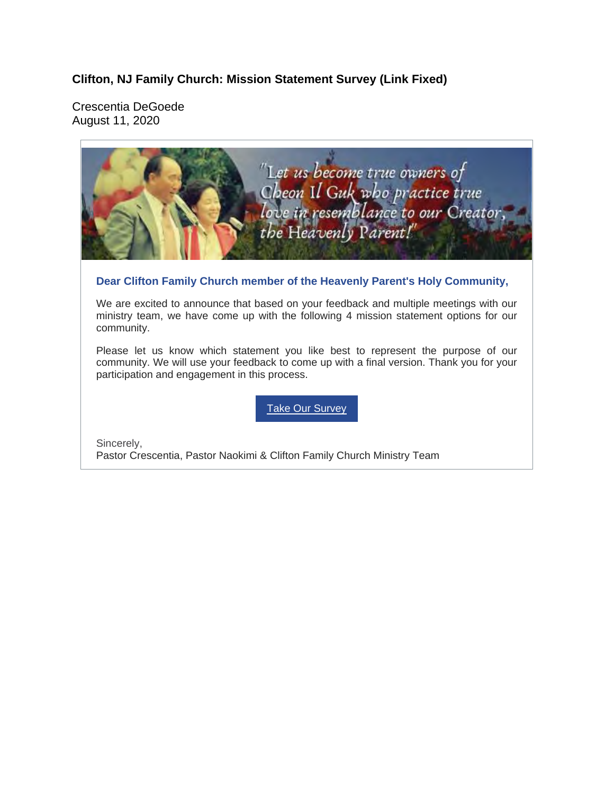**Clifton, NJ Family Church: Mission Statement Survey (Link Fixed)** 

Crescentia DeGoede August 11, 2020

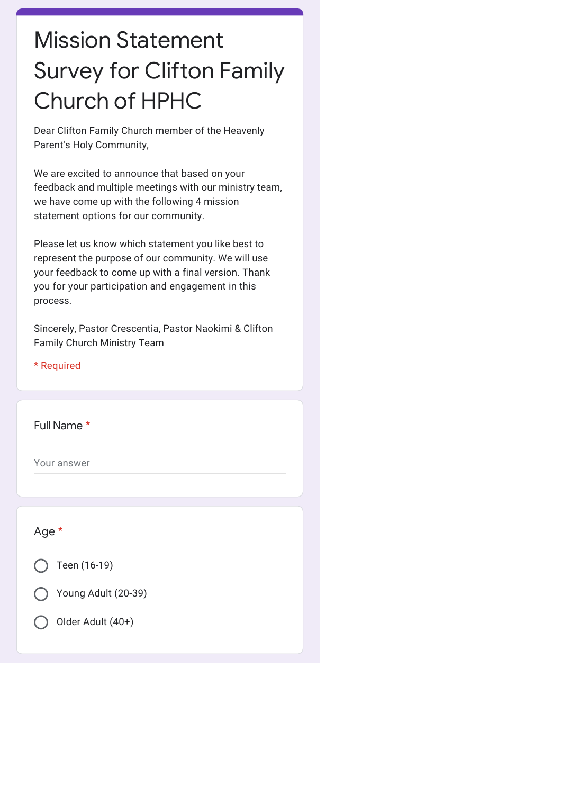## Mission Statement Survey for Clifton Family Church of HPHC

Dear Clifton Family Church member of the Heavenly Parent's Holy Community,

We are excited to announce that based on your feedback and multiple meetings with our ministry team, we have come up with the following 4 mission statement options for our community.

Please let us know which statement you like best to represent the purpose of our community. We will use your feedback to come up with a final version. Thank you for your participation and engagement in this process.

Sincerely, Pastor Crescentia, Pastor Naokimi & Clifton Family Church Ministry Team

\* Required

Full Name \*

Your answer

| Age *                              |
|------------------------------------|
| Teen (16-19)                       |
| Young Adult (20-39)<br>$($ )       |
| Older Adult (40+)<br>$\mathcal{L}$ |
|                                    |